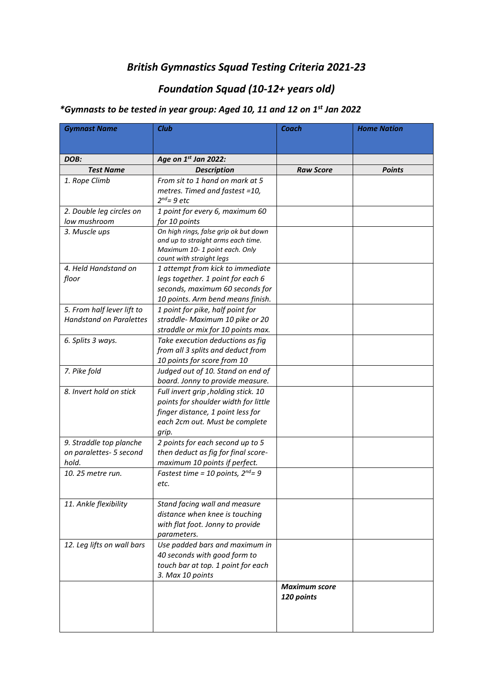## *British Gymnastics Squad Testing Criteria 2021-23*

# *Foundation Squad (10-12+ years old)*

## *\*Gymnasts to be tested in year group: Aged 10, 11 and 12 on 1st Jan 2022*

| <b>Gymnast Name</b>            | <b>Club</b>                                                           | <b>Coach</b>         | <b>Home Nation</b> |
|--------------------------------|-----------------------------------------------------------------------|----------------------|--------------------|
|                                |                                                                       |                      |                    |
| DOB:                           | Age on 1st Jan 2022:                                                  |                      |                    |
| <b>Test Name</b>               | <b>Description</b>                                                    | <b>Raw Score</b>     | <b>Points</b>      |
| 1. Rope Climb                  | From sit to 1 hand on mark at 5                                       |                      |                    |
|                                | metres. Timed and fastest =10,                                        |                      |                    |
|                                | $2^{nd}$ = 9 etc                                                      |                      |                    |
| 2. Double leg circles on       | 1 point for every 6, maximum 60                                       |                      |                    |
| low mushroom                   | for 10 points                                                         |                      |                    |
| 3. Muscle ups                  | On high rings, false grip ok but down                                 |                      |                    |
|                                | and up to straight arms each time.                                    |                      |                    |
|                                | Maximum 10-1 point each. Only                                         |                      |                    |
|                                | count with straight legs                                              |                      |                    |
| 4. Held Handstand on           | 1 attempt from kick to immediate                                      |                      |                    |
| floor                          | legs together. 1 point for each 6                                     |                      |                    |
|                                | seconds, maximum 60 seconds for<br>10 points. Arm bend means finish.  |                      |                    |
| 5. From half lever lift to     |                                                                       |                      |                    |
| <b>Handstand on Paralettes</b> | 1 point for pike, half point for                                      |                      |                    |
|                                | straddle- Maximum 10 pike or 20<br>straddle or mix for 10 points max. |                      |                    |
| 6. Splits 3 ways.              | Take execution deductions as fig                                      |                      |                    |
|                                | from all 3 splits and deduct from                                     |                      |                    |
|                                | 10 points for score from 10                                           |                      |                    |
| 7. Pike fold                   | Judged out of 10. Stand on end of                                     |                      |                    |
|                                | board. Jonny to provide measure.                                      |                      |                    |
| 8. Invert hold on stick        | Full invert grip , holding stick. 10                                  |                      |                    |
|                                | points for shoulder width for little                                  |                      |                    |
|                                | finger distance, 1 point less for                                     |                      |                    |
|                                | each 2cm out. Must be complete                                        |                      |                    |
|                                | grip.                                                                 |                      |                    |
| 9. Straddle top planche        | 2 points for each second up to 5                                      |                      |                    |
| on paralettes- 5 second        | then deduct as fig for final score-                                   |                      |                    |
| hold.                          | maximum 10 points if perfect.                                         |                      |                    |
| 10. 25 metre run.              | Fastest time = 10 points, $2^{nd} = 9$                                |                      |                    |
|                                | etc.                                                                  |                      |                    |
|                                |                                                                       |                      |                    |
| 11. Ankle flexibility          | Stand facing wall and measure                                         |                      |                    |
|                                | distance when knee is touching                                        |                      |                    |
|                                | with flat foot. Jonny to provide                                      |                      |                    |
|                                | parameters.                                                           |                      |                    |
| 12. Leg lifts on wall bars     | Use padded bars and maximum in                                        |                      |                    |
|                                | 40 seconds with good form to                                          |                      |                    |
|                                | touch bar at top. 1 point for each                                    |                      |                    |
|                                | 3. Max 10 points                                                      |                      |                    |
|                                |                                                                       | <b>Maximum score</b> |                    |
|                                |                                                                       | 120 points           |                    |
|                                |                                                                       |                      |                    |
|                                |                                                                       |                      |                    |
|                                |                                                                       |                      |                    |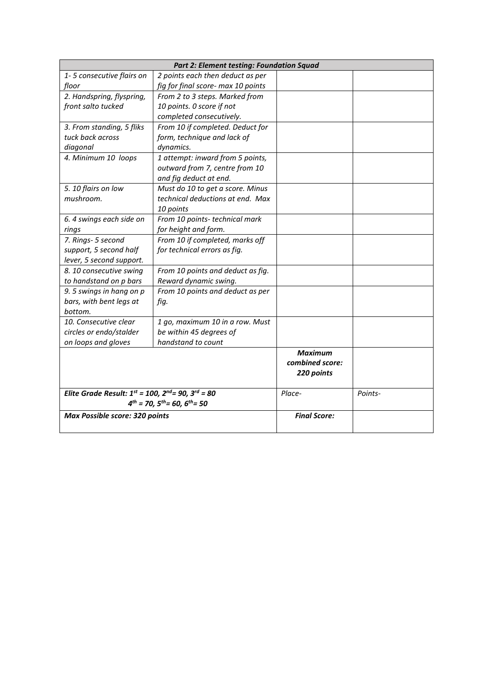| Part 2: Element testing: Foundation Squad                        |                                    |                     |         |  |  |
|------------------------------------------------------------------|------------------------------------|---------------------|---------|--|--|
| 1-5 consecutive flairs on                                        | 2 points each then deduct as per   |                     |         |  |  |
| floor                                                            | fig for final score- max 10 points |                     |         |  |  |
| 2. Handspring, flyspring,                                        | From 2 to 3 steps. Marked from     |                     |         |  |  |
| front salto tucked                                               | 10 points. 0 score if not          |                     |         |  |  |
|                                                                  | completed consecutively.           |                     |         |  |  |
| 3. From standing, 5 fliks                                        | From 10 if completed. Deduct for   |                     |         |  |  |
| tuck back across                                                 | form, technique and lack of        |                     |         |  |  |
| diagonal                                                         | dynamics.                          |                     |         |  |  |
| 4. Minimum 10 loops                                              | 1 attempt: inward from 5 points,   |                     |         |  |  |
|                                                                  | outward from 7, centre from 10     |                     |         |  |  |
|                                                                  | and fig deduct at end.             |                     |         |  |  |
| 5. 10 flairs on low                                              | Must do 10 to get a score. Minus   |                     |         |  |  |
| mushroom.                                                        | technical deductions at end. Max   |                     |         |  |  |
|                                                                  | 10 points                          |                     |         |  |  |
| 6. 4 swings each side on                                         | From 10 points- technical mark     |                     |         |  |  |
| rings                                                            | for height and form.               |                     |         |  |  |
| 7. Rings- 5 second                                               | From 10 if completed, marks off    |                     |         |  |  |
| support, 5 second half                                           | for technical errors as fig.       |                     |         |  |  |
| lever, 5 second support.                                         |                                    |                     |         |  |  |
| 8. 10 consecutive swing                                          | From 10 points and deduct as fig.  |                     |         |  |  |
| to handstand on p bars                                           | Reward dynamic swing.              |                     |         |  |  |
| 9.5 swings in hang on p                                          | From 10 points and deduct as per   |                     |         |  |  |
| bars, with bent legs at                                          | fig.                               |                     |         |  |  |
| bottom.                                                          |                                    |                     |         |  |  |
| 10. Consecutive clear                                            | 1 go, maximum 10 in a row. Must    |                     |         |  |  |
| circles or endo/stalder                                          | be within 45 degrees of            |                     |         |  |  |
| on loops and gloves                                              | handstand to count                 |                     |         |  |  |
|                                                                  |                                    | Maximum             |         |  |  |
|                                                                  |                                    | combined score:     |         |  |  |
|                                                                  |                                    | 220 points          |         |  |  |
|                                                                  |                                    |                     |         |  |  |
| Elite Grade Result: $1^{st}$ = 100, $2^{nd}$ = 90, $3^{rd}$ = 80 |                                    | Place-              | Points- |  |  |
| $4^{th}$ = 70, $5^{th}$ = 60, $6^{th}$ = 50                      |                                    |                     |         |  |  |
| Max Possible score: 320 points                                   |                                    | <b>Final Score:</b> |         |  |  |
|                                                                  |                                    |                     |         |  |  |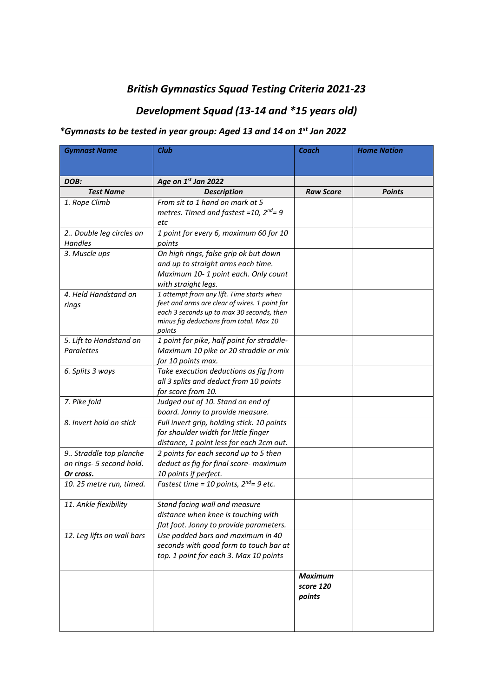## *British Gymnastics Squad Testing Criteria 2021-23*

# *Development Squad (13-14 and \*15 years old)*

#### *\*Gymnasts to be tested in year group: Aged 13 and 14 on 1st Jan 2022*

| <b>Gymnast Name</b>        | <b>Club</b>                                       | Coach            | <b>Home Nation</b> |
|----------------------------|---------------------------------------------------|------------------|--------------------|
|                            |                                                   |                  |                    |
| DOB:                       | Age on 1st Jan 2022                               |                  |                    |
| <b>Test Name</b>           | <b>Description</b>                                | <b>Raw Score</b> | <b>Points</b>      |
| 1. Rope Climb              | From sit to 1 hand on mark at 5                   |                  |                    |
|                            | metres. Timed and fastest = 10, $2^{nd}$ = 9      |                  |                    |
|                            | etc                                               |                  |                    |
| 2 Double leg circles on    | 1 point for every 6, maximum 60 for 10            |                  |                    |
| Handles                    | points                                            |                  |                    |
| 3. Muscle ups              | On high rings, false grip ok but down             |                  |                    |
|                            | and up to straight arms each time.                |                  |                    |
|                            | Maximum 10-1 point each. Only count               |                  |                    |
|                            | with straight legs.                               |                  |                    |
| 4. Held Handstand on       | 1 attempt from any lift. Time starts when         |                  |                    |
| rings                      | feet and arms are clear of wires. 1 point for     |                  |                    |
|                            | each 3 seconds up to max 30 seconds, then         |                  |                    |
|                            | minus fig deductions from total. Max 10<br>points |                  |                    |
| 5. Lift to Handstand on    | 1 point for pike, half point for straddle-        |                  |                    |
| Paralettes                 | Maximum 10 pike or 20 straddle or mix             |                  |                    |
|                            | for 10 points max.                                |                  |                    |
| 6. Splits 3 ways           | Take execution deductions as fig from             |                  |                    |
|                            | all 3 splits and deduct from 10 points            |                  |                    |
|                            | for score from 10.                                |                  |                    |
| 7. Pike fold               | Judged out of 10. Stand on end of                 |                  |                    |
|                            | board. Jonny to provide measure.                  |                  |                    |
| 8. Invert hold on stick    | Full invert grip, holding stick. 10 points        |                  |                    |
|                            | for shoulder width for little finger              |                  |                    |
|                            | distance, 1 point less for each 2cm out.          |                  |                    |
| 9 Straddle top planche     | 2 points for each second up to 5 then             |                  |                    |
| on rings- 5 second hold.   | deduct as fig for final score- maximum            |                  |                    |
| Or cross.                  | 10 points if perfect.                             |                  |                    |
| 10. 25 metre run, timed.   | Fastest time = 10 points, $2^{nd} = 9$ etc.       |                  |                    |
|                            |                                                   |                  |                    |
| 11. Ankle flexibility      | Stand facing wall and measure                     |                  |                    |
|                            | distance when knee is touching with               |                  |                    |
|                            | flat foot. Jonny to provide parameters.           |                  |                    |
| 12. Leg lifts on wall bars | Use padded bars and maximum in 40                 |                  |                    |
|                            | seconds with good form to touch bar at            |                  |                    |
|                            | top. 1 point for each 3. Max 10 points            |                  |                    |
|                            |                                                   |                  |                    |
|                            |                                                   | <b>Maximum</b>   |                    |
|                            |                                                   | score 120        |                    |
|                            |                                                   | points           |                    |
|                            |                                                   |                  |                    |
|                            |                                                   |                  |                    |
|                            |                                                   |                  |                    |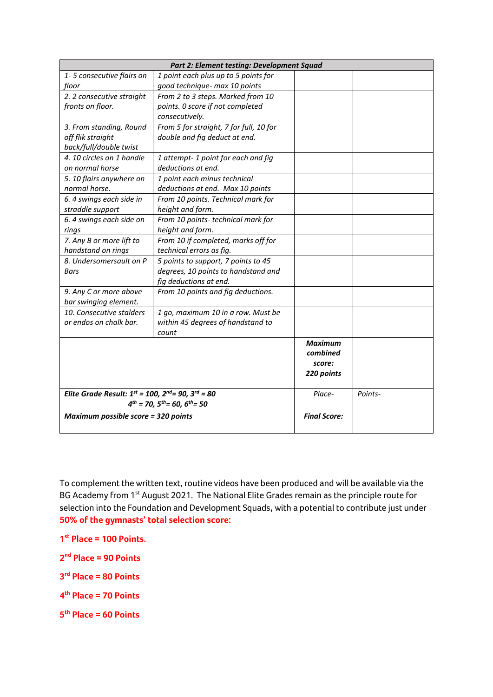| Part 2: Element testing: Development Squad                       |                                         |                     |         |  |
|------------------------------------------------------------------|-----------------------------------------|---------------------|---------|--|
| 1-5 consecutive flairs on                                        | 1 point each plus up to 5 points for    |                     |         |  |
| floor                                                            | good technique- max 10 points           |                     |         |  |
| 2. 2 consecutive straight                                        | From 2 to 3 steps. Marked from 10       |                     |         |  |
| fronts on floor.                                                 | points. 0 score if not completed        |                     |         |  |
|                                                                  | consecutively.                          |                     |         |  |
| 3. From standing, Round                                          | From 5 for straight, 7 for full, 10 for |                     |         |  |
| off flik straight                                                | double and fig deduct at end.           |                     |         |  |
| back/full/double twist                                           |                                         |                     |         |  |
| 4. 10 circles on 1 handle                                        | 1 attempt-1 point for each and fig      |                     |         |  |
| on normal horse                                                  | deductions at end.                      |                     |         |  |
| 5. 10 flairs anywhere on                                         | 1 point each minus technical            |                     |         |  |
| normal horse.                                                    | deductions at end. Max 10 points        |                     |         |  |
| 6. 4 swings each side in                                         | From 10 points. Technical mark for      |                     |         |  |
| straddle support                                                 | height and form.                        |                     |         |  |
| 6. 4 swings each side on                                         | From 10 points- technical mark for      |                     |         |  |
| rings                                                            | height and form.                        |                     |         |  |
| 7. Any B or more lift to                                         | From 10 if completed, marks off for     |                     |         |  |
| handstand on rings                                               | technical errors as fig.                |                     |         |  |
| 8. Undersomersault on P                                          | 5 points to support, 7 points to 45     |                     |         |  |
| Bars                                                             | degrees, 10 points to handstand and     |                     |         |  |
|                                                                  | fig deductions at end.                  |                     |         |  |
| 9. Any C or more above                                           | From 10 points and fig deductions.      |                     |         |  |
| bar swinging element.                                            |                                         |                     |         |  |
| 10. Consecutive stalders                                         | 1 go, maximum 10 in a row. Must be      |                     |         |  |
| or endos on chalk bar.                                           | within 45 degrees of handstand to       |                     |         |  |
|                                                                  | count                                   |                     |         |  |
|                                                                  |                                         | <b>Maximum</b>      |         |  |
|                                                                  |                                         | combined            |         |  |
|                                                                  |                                         | score:              |         |  |
|                                                                  |                                         | 220 points          |         |  |
| Elite Grade Result: $1^{st}$ = 100, $2^{nd}$ = 90, $3^{rd}$ = 80 |                                         | Place-              | Points- |  |
| $4^{th}$ = 70, $5^{th}$ = 60, $6^{th}$ = 50                      |                                         |                     |         |  |
| Maximum possible score = 320 points                              |                                         | <b>Final Score:</b> |         |  |

To complement the written text, routine videos have been produced and will be available via the BG Academy from 1<sup>st</sup> August 2021. The National Elite Grades remain as the principle route for selection into the Foundation and Development Squads**,** with a potential to contribute just under **50% of the gymnasts' total selection score:**

**1 st Place = 100 Points.**

**2 nd Place = 90 Points**

**3 rd Place = 80 Points**

**4 th Place = 70 Points**

**5 th Place = 60 Points**